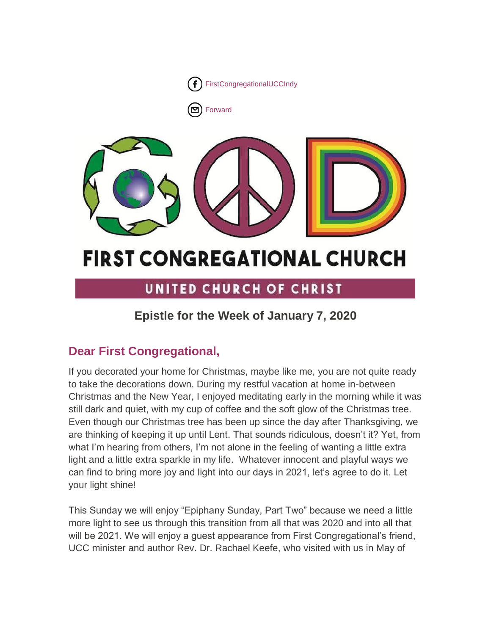

# **FIRST CONGREGATIONAL CHURCH**

# UNITED CHURCH OF CHRIST

# **Epistle for the Week of January 7, 2020**

# **Dear First Congregational,**

If you decorated your home for Christmas, maybe like me, you are not quite ready to take the decorations down. During my restful vacation at home in-between Christmas and the New Year, I enjoyed meditating early in the morning while it was still dark and quiet, with my cup of coffee and the soft glow of the Christmas tree. Even though our Christmas tree has been up since the day after Thanksgiving, we are thinking of keeping it up until Lent. That sounds ridiculous, doesn't it? Yet, from what I'm hearing from others, I'm not alone in the feeling of wanting a little extra light and a little extra sparkle in my life. Whatever innocent and playful ways we can find to bring more joy and light into our days in 2021, let's agree to do it. Let your light shine!

This Sunday we will enjoy "Epiphany Sunday, Part Two" because we need a little more light to see us through this transition from all that was 2020 and into all that will be 2021. We will enjoy a guest appearance from First Congregational's friend, UCC minister and author Rev. Dr. Rachael Keefe, who visited with us in May of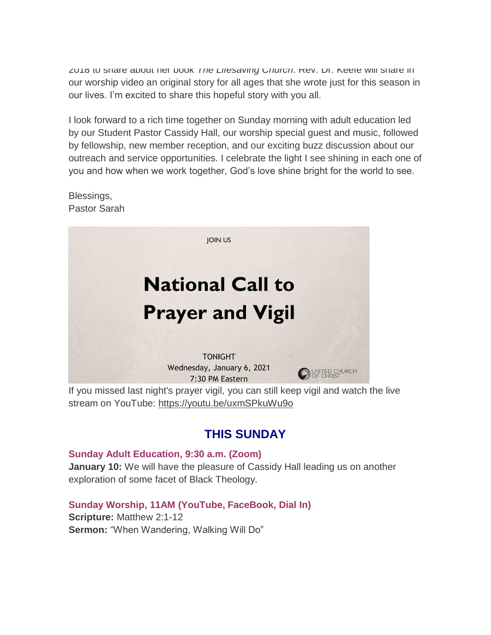2018 to share about her book *The Lifesaving Church*. Rev. Dr. Keefe will share in our worship video an original story for all ages that she wrote just for this season in our lives. I'm excited to share this hopeful story with you all.

I look forward to a rich time together on Sunday morning with adult education led by our Student Pastor Cassidy Hall, our worship special guest and music, followed by fellowship, new member reception, and our exciting buzz discussion about our outreach and service opportunities. I celebrate the light I see shining in each one of you and how when we work together, God's love shine bright for the world to see.

Blessings, Pastor Sarah



stream on YouTube: <https://youtu.be/uxmSPkuWu9o>

# **THIS SUNDAY**

**Sunday Adult Education, 9:30 a.m. (Zoom) January 10:** We will have the pleasure of Cassidy Hall leading us on another exploration of some facet of Black Theology.

## **Sunday Worship, 11AM (YouTube, FaceBook, Dial In)**

**Scripture:** Matthew 2:1-12 **Sermon:** "When Wandering, Walking Will Do"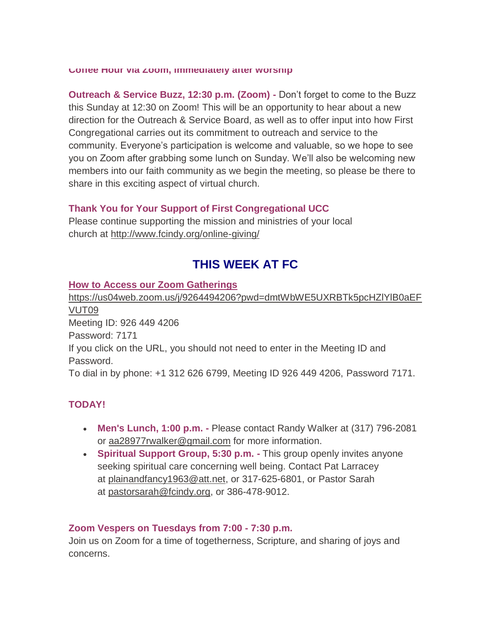**Coffee Hour via Zoom, immediately after worship**

**Outreach & Service Buzz, 12:30 p.m. (Zoom) -** Don't forget to come to the Buzz this Sunday at 12:30 on Zoom! This will be an opportunity to hear about a new direction for the Outreach & Service Board, as well as to offer input into how First Congregational carries out its commitment to outreach and service to the community. Everyone's participation is welcome and valuable, so we hope to see you on Zoom after grabbing some lunch on Sunday. We'll also be welcoming new members into our faith community as we begin the meeting, so please be there to share in this exciting aspect of virtual church.

#### **Thank You for Your Support of First Congregational UCC**

Please continue supporting the mission and ministries of your local church at <http://www.fcindy.org/online-giving/>

# **THIS WEEK AT FC**

#### **How to Access our Zoom Gatherings**

[https://us04web.zoom.us/j/9264494206?pwd=dmtWbWE5UXRBTk5pcHZlYlB0aEF](https://us04web.zoom.us/j/9264494206?pwd=dmtWbWE5UXRBTk5pcHZlYlB0aEFVUT09) [VUT09](https://us04web.zoom.us/j/9264494206?pwd=dmtWbWE5UXRBTk5pcHZlYlB0aEFVUT09) Meeting ID: 926 449 4206 Password: 7171 If you click on the URL, you should not need to enter in the Meeting ID and Password. To dial in by phone: +1 312 626 6799, Meeting ID 926 449 4206, Password 7171.

# **TODAY!**

- **Men's Lunch, 1:00 p.m. -** Please contact Randy Walker at (317) 796-2081 or aa28977rwalker@gmail.com for more information.
- **Spiritual Support Group, 5:30 p.m. -** This group openly invites anyone seeking spiritual care concerning well being. Contact Pat Larracey at [plainandfancy1963@att.net,](mailto:plainandfancy1963@att.net) or 317-625-6801, or Pastor Sarah at [pastorsarah@fcindy.org,](mailto:pastorsarah@fcindy.org) or 386-478-9012.

#### **Zoom Vespers on Tuesdays from 7:00 - 7:30 p.m.**

Join us on Zoom for a time of togetherness, Scripture, and sharing of joys and concerns.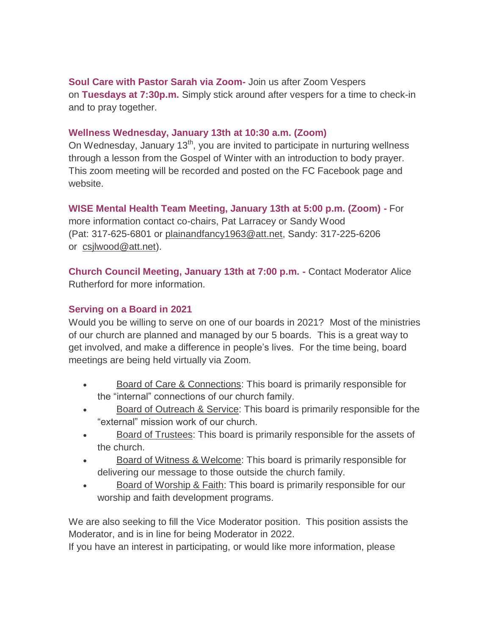**Soul Care with Pastor Sarah via Zoom-** Join us after Zoom Vespers on **Tuesdays at 7:30p.m.** Simply stick around after vespers for a time to check-in and to pray together.

### **Wellness Wednesday, January 13th at 10:30 a.m. (Zoom)**

On Wednesday, January  $13<sup>th</sup>$ , you are invited to participate in nurturing wellness through a lesson from the Gospel of Winter with an introduction to body prayer. This zoom meeting will be recorded and posted on the FC Facebook page and website.

# **WISE Mental Health Team Meeting, January 13th at 5:00 p.m. (Zoom) -** For

more information contact co-chairs, Pat Larracey or Sandy Wood (Pat: 317-625-6801 or [plainandfancy1963@att.net,](mailto:317-625-6801-plainandfancy1963@att.net) Sandy: 317-225-6206 or [csjlwood@att.net\)](mailto:csjlwood@att.net).

**Church Council Meeting, January 13th at 7:00 p.m. -** Contact Moderator Alice Rutherford for more information.

# **Serving on a Board in 2021**

Would you be willing to serve on one of our boards in 2021? Most of the ministries of our church are planned and managed by our 5 boards. This is a great way to get involved, and make a difference in people's lives. For the time being, board meetings are being held virtually via Zoom.

- Board of Care & Connections: This board is primarily responsible for the "internal" connections of our church family.
- Board of Outreach & Service: This board is primarily responsible for the "external" mission work of our church.
- Board of Trustees: This board is primarily responsible for the assets of the church.
- Board of Witness & Welcome: This board is primarily responsible for delivering our message to those outside the church family.
- Board of Worship & Faith: This board is primarily responsible for our worship and faith development programs.

We are also seeking to fill the Vice Moderator position. This position assists the Moderator, and is in line for being Moderator in 2022.

If you have an interest in participating, or would like more information, please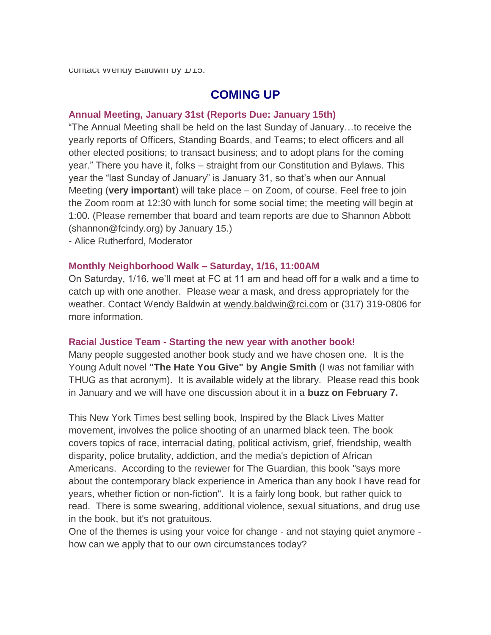# **COMING UP**

#### **Annual Meeting, January 31st (Reports Due: January 15th)**

"The Annual Meeting shall be held on the last Sunday of January…to receive the yearly reports of Officers, Standing Boards, and Teams; to elect officers and all other elected positions; to transact business; and to adopt plans for the coming year." There you have it, folks – straight from our Constitution and Bylaws. This year the "last Sunday of January" is January 31, so that's when our Annual Meeting (**very important**) will take place – on Zoom, of course. Feel free to join the Zoom room at 12:30 with lunch for some social time; the meeting will begin at 1:00. (Please remember that board and team reports are due to Shannon Abbott (shannon@fcindy.org) by January 15.)

- Alice Rutherford, Moderator

#### **Monthly Neighborhood Walk – Saturday, 1/16, 11:00AM**

On Saturday, 1/16, we'll meet at FC at 11 am and head off for a walk and a time to catch up with one another. Please wear a mask, and dress appropriately for the weather. Contact Wendy Baldwin at [wendy.baldwin@rci.com](mailto:wendy.baldwin@rci.com) or (317) 319-0806 for more information.

#### **Racial Justice Team - Starting the new year with another book!**

Many people suggested another book study and we have chosen one. It is the Young Adult novel **"The Hate You Give" by Angie Smith** (I was not familiar with THUG as that acronym). It is available widely at the library. Please read this book in January and we will have one discussion about it in a **buzz on February 7.** 

This New York Times best selling book, Inspired by the Black Lives Matter movement, involves the police shooting of an unarmed black teen. The book covers topics of race, interracial dating, political activism, grief, friendship, wealth disparity, police brutality, addiction, and the media's depiction of African Americans. According to the reviewer for The Guardian, this book "says more about the contemporary black experience in America than any book I have read for years, whether fiction or non-fiction". It is a fairly long book, but rather quick to read. There is some swearing, additional violence, sexual situations, and drug use in the book, but it's not gratuitous.

One of the themes is using your voice for change - and not staying quiet anymore how can we apply that to our own circumstances today?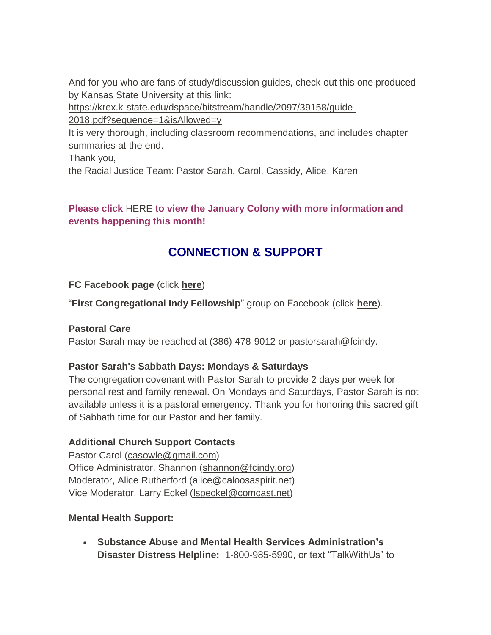And for you who are fans of study/discussion guides, check out this one produced by Kansas State University at this link:

[https://krex.k-state.edu/dspace/bitstream/handle/2097/39158/guide-](https://krex.k-state.edu/dspace/bitstream/handle/2097/39158/guide-2018.pdf?sequence=1&isAllowed=y)[2018.pdf?sequence=1&isAllowed=y](https://krex.k-state.edu/dspace/bitstream/handle/2097/39158/guide-2018.pdf?sequence=1&isAllowed=y)

It is very thorough, including classroom recommendations, and includes chapter summaries at the end.

Thank you,

the Racial Justice Team: Pastor Sarah, Carol, Cassidy, Alice, Karen

# **Please click** [HERE](https://mcusercontent.com/7a2e4c501545b6d78729a64a1/files/5d6c1642-d4df-452d-8ead-028d2af0d818/January_Colony_2021.01.pdf) **to view the January Colony with more information and events happening this month!**

# **CONNECTION & SUPPORT**

**FC Facebook page** (click **[here](https://www.facebook.com/FirstCongregationalUCCIndy/)**)

"**First Congregational Indy Fellowship**" group on Facebook (click **[here](https://www.facebook.com/groups/521333455186422/)**).

## **Pastoral Care**

Pastor Sarah may be reached at (386) 478-9012 or [pastorsarah@fcindy.](mailto:pastorsarah@fcindy.org)

# **Pastor Sarah's Sabbath Days: Mondays & Saturdays**

The congregation covenant with Pastor Sarah to provide 2 days per week for personal rest and family renewal. On Mondays and Saturdays, Pastor Sarah is not available unless it is a pastoral emergency. Thank you for honoring this sacred gift of Sabbath time for our Pastor and her family.

# **Additional Church Support Contacts**

Pastor Carol [\(casowle@gmail.com\)](mailto:casowle@gmail.com) Office Administrator, Shannon [\(shannon@fcindy.org\)](mailto:shannon@fcindy.org) Moderator, Alice Rutherford [\(alice@caloosaspirit.net\)](mailto:alice@caloosaspirit.net) Vice Moderator, Larry Eckel (Ispeckel@comcast.net)

# **Mental Health Support:**

 **Substance Abuse and Mental Health Services Administration's Disaster Distress Helpline:** 1-800-985-5990, or text "TalkWithUs" to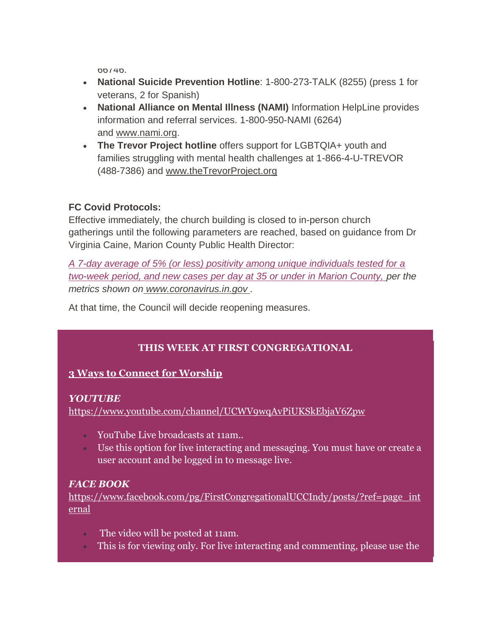66746.

- **National Suicide Prevention Hotline**: 1-800-273-TALK (8255) (press 1 for veterans, 2 for Spanish)
- **National Alliance on Mental Illness (NAMI)** Information HelpLine provides information and referral services. 1-800-950-NAMI (6264) and [www.nami.org.](http://www.nami.org/)
- **The Trevor Project hotline** offers support for LGBTQIA+ youth and families struggling with mental health challenges at 1-866-4-U-TREVOR (488-7386) and [www.theTrevorProject.org](http://www.thetrevorproject.org/)

# **FC Covid Protocols:**

Effective immediately, the church building is closed to in-person church gatherings until the following parameters are reached, based on guidance from Dr Virginia Caine, Marion County Public Health Director:

*A 7-day average of 5% (or less) positivity among unique individuals tested for a two-week period, and new cases per day at 35 or under in Marion County, per the metrics shown on [www.coronavirus.in.gov](http://www.coronavirus.in.gov/) .* 

At that time, the Council will decide reopening measures.

# **THIS WEEK AT FIRST CONGREGATIONAL**

## **3 Ways to Connect for Worship**

## *YOUTUBE*

<https://www.youtube.com/channel/UCWV9wqAvPiUKSkEbjaV6Zpw>

- YouTube Live broadcasts at 11am..
- Use this option for live interacting and messaging. You must have or create a user account and be logged in to message live.

## *FACE BOOK*

[https://www.facebook.com/pg/FirstCongregationalUCCIndy/posts/?ref=page\\_int](https://www.facebook.com/pg/FirstCongregationalUCCIndy/posts/?ref=page_internal) [ernal](https://www.facebook.com/pg/FirstCongregationalUCCIndy/posts/?ref=page_internal)

- The video will be posted at 11am.
- This is for viewing only. For live interacting and commenting, please use the